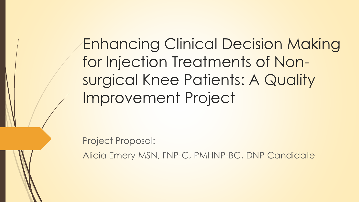Enhancing Clinical Decision Making for Injection Treatments of Nonsurgical Knee Patients: A Quality Improvement Project

Project Proposal:

Alicia Emery MSN, FNP-C, PMHNP-BC, DNP Candidate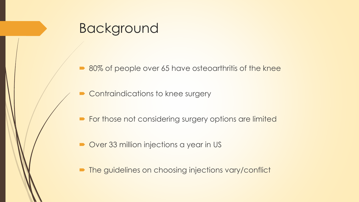### Background

■ 80% of people over 65 have osteoarthritis of the knee

- Contraindications to knee surgery
- **For those not considering surgery options are limited**
- Over 33 million injections a year in US
- **The guidelines on choosing injections vary/conflict**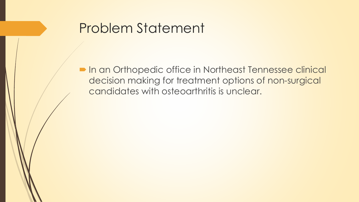### Problem Statement

 In an Orthopedic office in Northeast Tennessee clinical decision making for treatment options of non-surgical candidates with osteoarthritis is unclear.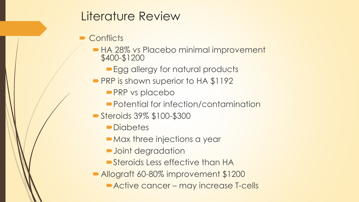#### Literature Review

#### **Conflicts**

- HA 28% vs Placebo minimal improvement \$400-\$1200
	- Egg allergy for natural products
- PRP is shown superior to HA \$1192
	- **PRP** vs placebo
	- ■Potential for infection/contamination
- Steroids 39% \$100-\$300
	- **Diabetes**
	- **Max three injections a year**
	- **D**Joint degradation
	- Steroids Less effective than HA
- Allograft 60-80% improvement \$1200
	- **Active cancer may increase T-cells**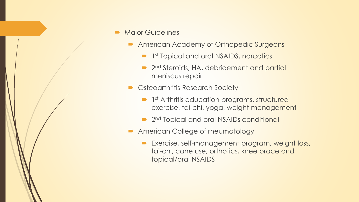- Major Guidelines
	- **American Academy of Orthopedic Surgeons** 
		- **1st Topical and oral NSAIDS, narcotics**
		- 2<sup>nd</sup> Steroids, HA, debridement and partial meniscus repair
	- Osteoarthritis Research Society
		- **1st Arthritis education programs, structured** exercise, tai-chi, yoga, weight management
		- 2<sup>nd</sup> Topical and oral NSAIDs conditional
	- **American College of rheumatology** 
		- Exercise, self-management program, weight loss, tai-chi, cane use, orthotics, knee brace and topical/oral NSAIDS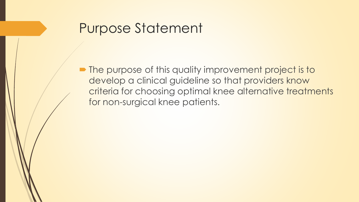## Purpose Statement

• The purpose of this quality improvement project is to develop a clinical guideline so that providers know criteria for choosing optimal knee alternative treatments for non-surgical knee patients.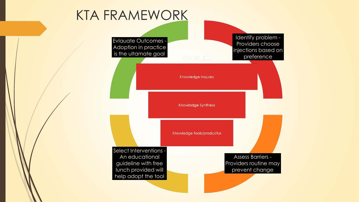# KTA FRAMEWORK

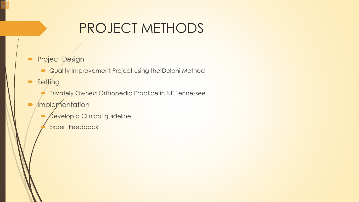# PROJECT METHODS

- **Project Design** 
	- **Quality Improvement Project using the Delphi Method**
- **Setting** 
	- Privately Owned Orthopedic Practice in NE Tennessee
- $\blacksquare$  /mplementation
	- *Develop a Clinical guideline*
	- Expert Feedback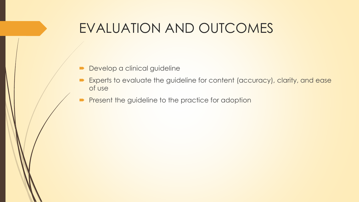## EVALUATION AND OUTCOMES

- **Develop a clinical guideline**
- Experts to evaluate the guideline for content (accuracy), clarity, and ease of use
- **Present the guideline to the practice for adoption**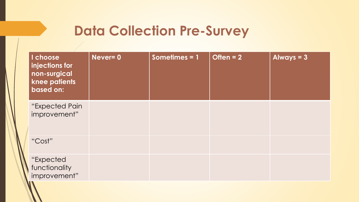## **Data Collection Pre-Survey**

| I choose<br>injections for<br>non-surgical<br>knee patients<br>based on: | Never= 0 | Sometimes = $1$ | Often $= 2$ | Always $= 3$ |
|--------------------------------------------------------------------------|----------|-----------------|-------------|--------------|
| "Expected Pain<br>improvement"                                           |          |                 |             |              |
| "Cost"                                                                   |          |                 |             |              |
| "Expected<br>functionality<br>improvement"                               |          |                 |             |              |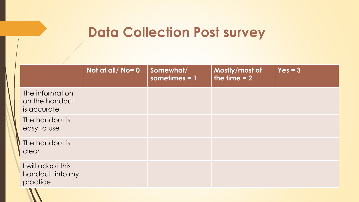# **Data Collection Post survey**

|                                                  | Not at all/No=0 | Somewhat/<br>sometimes $= 1$ | Mostly/most of<br>the time $= 2$ | $Yes = 3$ |
|--------------------------------------------------|-----------------|------------------------------|----------------------------------|-----------|
| The information<br>on the handout<br>is accurate |                 |                              |                                  |           |
| The handout is<br>easy to use                    |                 |                              |                                  |           |
| The handout is<br>clear                          |                 |                              |                                  |           |
| I will adopt this<br>handout into my<br>practice |                 |                              |                                  |           |